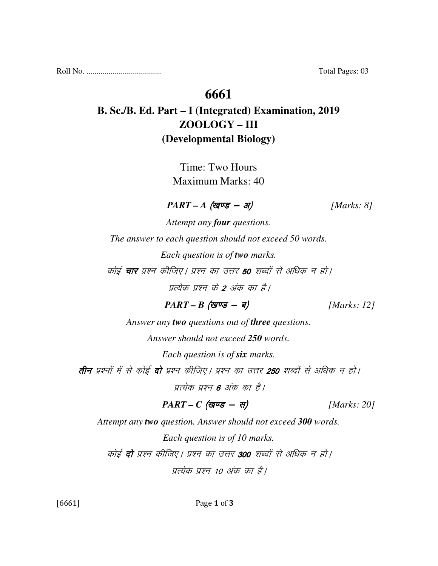Roll No. ..................................... Total Pages: 03

## **6661**

## **B. Sc./B. Ed. Part – I (Integrated) Examination, 2019 ZOOLOGY – III (Developmental Biology)**

Time: Two Hours Maximum Marks: 40

 $PART - A \text{ (gug - 3)}$  [Marks: 8]

*Attempt any four questions.* 

*The answer to each question should not exceed 50 words.* 

*Each question is of two marks.* 

कोई **चार** प्रश्न कीजिए। प्रश्न का उत्तर **50** शब्दों से अधिक न हो।

प्रत्येक प्रश्न के **2** अंक का है।

 $PART - B$  (*gvg* - *q*) [*Marks: 12]* 

*Answer any two questions out of three questions.* 

*Answer should not exceed 250 words.* 

*Each question is of six marks.* 

**तीन** प्रश्नों में से कोई **दो** प्रश्न कीजिए। प्रश्न का उत्तर 250 शब्दों से अधिक न हो।

प्रत्येक प्रश्न 6 अंक का है।

 $PART - C$  (*खण्ड* - स) [*Marks: 20]* 

*Attempt any two question. Answer should not exceed 300 words.* 

*Each question is of 10 marks.*  कोई **दो** प्रश्न कीजिए। प्रश्न का उत्तर 300 शब्दों से अधिक न हो। प्रत्येक प्रश्न 10 अंक का है।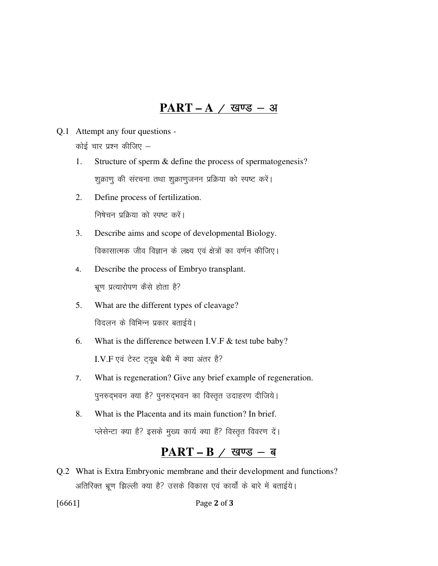## <u>PART – A / खण्ड – अ</u>

- Q.1 Attempt any four questions कोई चार प्रश्न कीजिए  $-$ 
	- 1. Structure of sperm & define the process of spermatogenesis? शुक्राणु की संरचना तथा शुक्राणुजनन प्रक्रिया को स्पष्ट करें।
	- 2. Define process of fertilization. निषेचन प्रक्रिया को स्पष्ट करें।
	- 3. Describe aims and scope of developmental Biology. विकासात्मक जीव विज्ञान के लक्ष्य एवं क्षेत्रों का वर्णन कीजिए।
	- 4. Describe the process of Embryo transplant. भ्रूण प्रत्यारोपण कैसे होता है?
	- 5. What are the different types of cleavage? विदलन के विभिन्न प्रकार बताईये।
	- 6. What is the difference between I.V.F & test tube baby? I.V.F एवं टेस्ट ट्यूब बेबी में क्या अंतर है?
	- 7. What is regeneration? Give any brief example of regeneration. पुनरुदभवन क्या है? पुनरुदभवन का विस्तृत उदाहरण दीजिये।
	- 8. What is the Placenta and its main function? In brief. प्लेसेन्टा क्या है? इसके मुख्य कार्य क्या हैं? विस्तृत विवरण दें।

## $\mathbf{PART} - \mathbf{B}$  / खण्ड - ब

Q.2 What is Extra Embryonic membrane and their development and functions? अतिरिक्त भ्रूण झिल्ली क्या है? उसके विकास एवं कार्यों के बारे में बताईये।